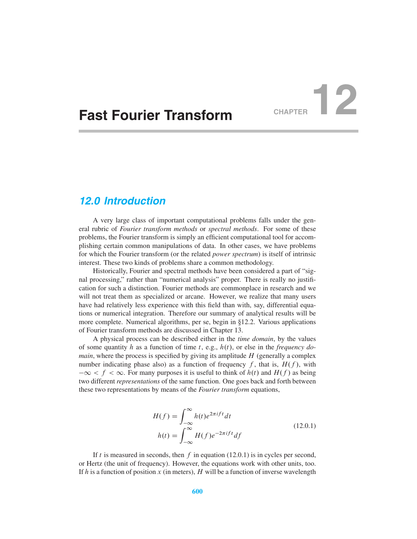# **Fast Fourier Transform CHAPTER**  $\overline{12}$

## **12.0 Introduction**

A very large class of important computational problems falls under the general rubric of *Fourier transform methods* or *spectral methods*. For some of these problems, the Fourier transform is simply an efficient computational tool for accomplishing certain common manipulations of data. In other cases, we have problems for which the Fourier transform (or the related *power spectrum*) is itself of intrinsic interest. These two kinds of problems share a common methodology.

Historically, Fourier and spectral methods have been considered a part of "signal processing," rather than "numerical analysis" proper. There is really no justification for such a distinction. Fourier methods are commonplace in research and we will not treat them as specialized or arcane. However, we realize that many users have had relatively less experience with this field than with, say, differential equations or numerical integration. Therefore our summary of analytical results will be more complete. Numerical algorithms, per se, begin in §12.2. Various applications of Fourier transform methods are discussed in Chapter 13.

A physical process can be described either in the *time domain*, by the values of some quantity h as a function of time t, e.g.,  $h(t)$ , or else in the *frequency domain*, where the process is specified by giving its amplitude  $H$  (generally a complex number indicating phase also) as a function of frequency  $f$ , that is,  $H(f)$ , with  $-\infty < f < \infty$ . For many purposes it is useful to think of  $h(t)$  and  $H(f)$  as being two different *representations* of the same function. One goes back and forth between these two representations by means of the *Fourier transform* equations,

$$
H(f) = \int_{-\infty}^{\infty} h(t)e^{2\pi if t} dt
$$
  
\n
$$
h(t) = \int_{-\infty}^{\infty} H(f)e^{-2\pi if t} df
$$
\n(12.0.1)

If t is measured in seconds, then  $f$  in equation (12.0.1) is in cycles per second, or Hertz (the unit of frequency). However, the equations work with other units, too. If h is a function of position x (in meters), H will be a function of inverse wavelength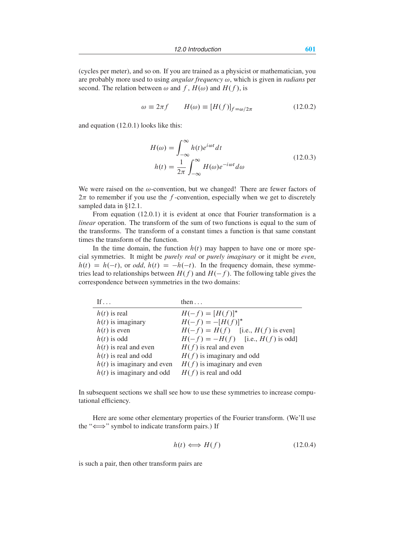(cycles per meter), and so on. If you are trained as a physicist or mathematician, you are probably more used to using *angular frequency*  $\omega$ , which is given in *radians* per second. The relation between  $\omega$  and f,  $H(\omega)$  and  $H(f)$ , is

$$
\omega \equiv 2\pi f \qquad H(\omega) \equiv [H(f)]_{f=\omega/2\pi} \tag{12.0.2}
$$

and equation (12.0.1) looks like this:

$$
H(\omega) = \int_{-\infty}^{\infty} h(t)e^{i\omega t}dt
$$
  
\n
$$
h(t) = \frac{1}{2\pi} \int_{-\infty}^{\infty} H(\omega)e^{-i\omega t}d\omega
$$
\n(12.0.3)

We were raised on the  $\omega$ -convention, but we changed! There are fewer factors of  $2\pi$  to remember if you use the f-convention, especially when we get to discretely sampled data in  $§12.1$ .

From equation (12.0.1) it is evident at once that Fourier transformation is a *linear* operation. The transform of the sum of two functions is equal to the sum of the transforms. The transform of a constant times a function is that same constant times the transform of the function.

In the time domain, the function  $h(t)$  may happen to have one or more special symmetries. It might be *purely real* or *purely imaginary* or it might be *even*,  $h(t) = h(-t)$ , or *odd*,  $h(t) = -h(-t)$ . In the frequency domain, these symmetries lead to relationships between  $H(f)$  and  $H(-f)$ . The following table gives the correspondence between symmetries in the two domains:

| If $\ldots$                  | then $\ldots$                         |
|------------------------------|---------------------------------------|
| $h(t)$ is real               | $H(-f) = [H(f)]^*$                    |
| $h(t)$ is imaginary          | $H(-f) = -[H(f)]^*$                   |
| $h(t)$ is even               | $H(-f) = H(f)$ [i.e., $H(f)$ is even] |
| $h(t)$ is odd                | $H(-f) = -H(f)$ [i.e., $H(f)$ is odd] |
| $h(t)$ is real and even      | $H(f)$ is real and even               |
| $h(t)$ is real and odd       | $H(f)$ is imaginary and odd           |
| $h(t)$ is imaginary and even | $H(f)$ is imaginary and even          |
| $h(t)$ is imaginary and odd  | $H(f)$ is real and odd                |

In subsequent sections we shall see how to use these symmetries to increase computational efficiency.

Here are some other elementary properties of the Fourier transform. (We'll use the " $\Longleftrightarrow$ " symbol to indicate transform pairs.) If

$$
h(t) \iff H(f) \tag{12.0.4}
$$

is such a pair, then other transform pairs are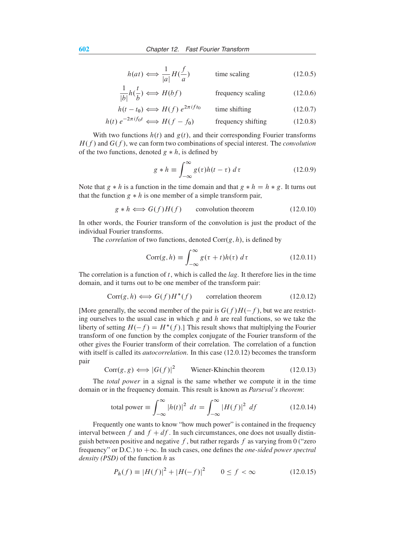$$
h(at) \iff \frac{1}{|a|} H(\frac{f}{a}) \qquad \text{time scaling} \tag{12.0.5}
$$

$$
\frac{1}{|b|}h(\frac{t}{b}) \iff H(bf)
$$
 frequency scaling (12.0.6)  
\n
$$
h(t - t_0) \iff H(f) e^{2\pi i f t_0}
$$
 time shifting (12.0.7)  
\n
$$
h(t) e^{-2\pi i f_0 t} \iff H(f - f_0)
$$
 frequency shifting (12.0.8)

With two functions  $h(t)$  and  $g(t)$ , and their corresponding Fourier transforms  $H(f)$  and  $G(f)$ , we can form two combinations of special interest. The *convolution* of the two functions, denoted  $g * h$ , is defined by

$$
g * h \equiv \int_{-\infty}^{\infty} g(\tau)h(t-\tau) d\tau
$$
 (12.0.9)

Note that  $g * h$  is a function in the time domain and that  $g * h = h * g$ . It turns out that the function  $g * h$  is one member of a simple transform pair,

$$
g * h \iff G(f)H(f) \qquad \text{convolution theorem} \tag{12.0.10}
$$

In other words, the Fourier transform of the convolution is just the product of the individual Fourier transforms.

The *correlation* of two functions, denoted  $Corr(g, h)$ , is defined by

$$
Corr(g, h) \equiv \int_{-\infty}^{\infty} g(\tau + t)h(\tau) d\tau
$$
 (12.0.11)

The correlation is a function of t, which is called the *lag*. It therefore lies in the time domain, and it turns out to be one member of the transform pair:

$$
Corr(g, h) \iff G(f)H^*(f) \qquad \text{correlation theorem} \tag{12.0.12}
$$

[More generally, the second member of the pair is  $G(f)H(-f)$ , but we are restricting ourselves to the usual case in which  $g$  and  $h$  are real functions, so we take the liberty of setting  $H(-f) = H^*(f)$ .] This result shows that multiplying the Fourier transform of one function by the complex conjugate of the Fourier transform of the other gives the Fourier transform of their correlation. The correlation of a function with itself is called its *autocorrelation*. In this case (12.0.12) becomes the transform pair

$$
Corr(g, g) \iff |G(f)|^2 \qquad \text{Wiener-Khinchin theorem} \tag{12.0.13}
$$

The *total power* in a signal is the same whether we compute it in the time domain or in the frequency domain. This result is known as *Parseval's theorem*:

total power 
$$
\equiv \int_{-\infty}^{\infty} |h(t)|^2 dt = \int_{-\infty}^{\infty} |H(f)|^2 df
$$
 (12.0.14)

Frequently one wants to know "how much power" is contained in the frequency interval between f and  $f + df$ . In such circumstances, one does not usually distinguish between positive and negative f, but rather regards f as varying from 0 ("zero") frequency" or D.C.) to  $+\infty$ . In such cases, one defines the *one-sided power spectral density (PSD)* of the function h as

$$
P_h(f) \equiv |H(f)|^2 + |H(-f)|^2 \qquad 0 \le f < \infty \tag{12.0.15}
$$

1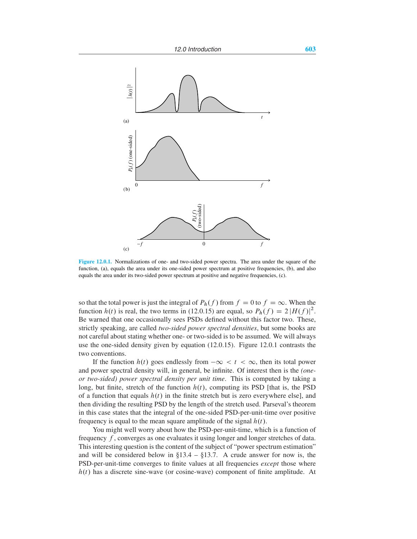

**Figure 12.0.1.** Normalizations of one- and two-sided power spectra. The area under the square of the function, (a), equals the area under its one-sided power spectrum at positive frequencies, (b), and also equals the area under its two-sided power spectrum at positive and negative frequencies, (c).

so that the total power is just the integral of  $P_h(f)$  from  $f = 0$  to  $f = \infty$ . When the function  $h(t)$  is real, the two terms in (12.0.15) are equal, so  $P_h(f) = 2 |H(f)|^2$ . Be warned that one occasionally sees PSDs defined without this factor two. These, strictly speaking, are called *two-sided power spectral densities*, but some books are not careful about stating whether one- or two-sided is to be assumed. We will always use the one-sided density given by equation (12.0.15). Figure 12.0.1 contrasts the two conventions.

If the function  $h(t)$  goes endlessly from  $-\infty < t < \infty$ , then its total power and power spectral density will, in general, be infinite. Of interest then is the *(oneor two-sided) power spectral density per unit time*. This is computed by taking a long, but finite, stretch of the function  $h(t)$ , computing its PSD [that is, the PSD of a function that equals  $h(t)$  in the finite stretch but is zero everywhere else], and then dividing the resulting PSD by the length of the stretch used. Parseval's theorem in this case states that the integral of the one-sided PSD-per-unit-time over positive frequency is equal to the mean square amplitude of the signal  $h(t)$ .

You might well worry about how the PSD-per-unit-time, which is a function of frequency  $f$ , converges as one evaluates it using longer and longer stretches of data. This interesting question is the content of the subject of "power spectrum estimation" and will be considered below in  $\S$ 13.4 –  $\S$ 13.7. A crude answer for now is, the PSD-per-unit-time converges to finite values at all frequencies *except* those where  $h(t)$  has a discrete sine-wave (or cosine-wave) component of finite amplitude. At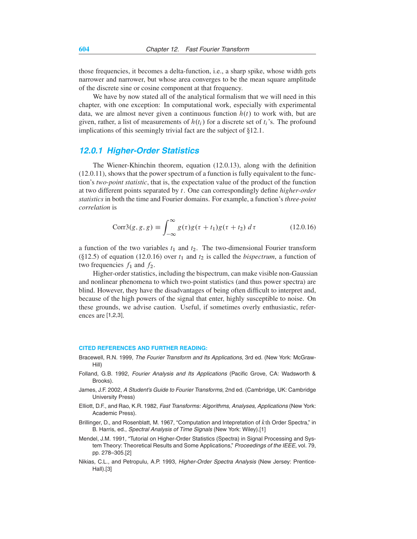those frequencies, it becomes a delta-function, i.e., a sharp spike, whose width gets narrower and narrower, but whose area converges to be the mean square amplitude of the discrete sine or cosine component at that frequency.

We have by now stated all of the analytical formalism that we will need in this chapter, with one exception: In computational work, especially with experimental data, we are almost never given a continuous function  $h(t)$  to work with, but are given, rather, a list of measurements of  $h(t_i)$  for a discrete set of  $t_i$ 's. The profound implications of this seemingly trivial fact are the subject of  $\S 12.1$ .

### **12.0.1 Higher-Order Statistics**

The Wiener-Khinchin theorem, equation (12.0.13), along with the definition (12.0.11), shows that the power spectrum of a function is fully equivalent to the function's *two-point statistic*, that is, the expectation value of the product of the function at two different points separated by t. One can correspondingly define *higher-order statistics* in both the time and Fourier domains. For example, a function's *three-point correlation* is

$$
Corr3(g, g, g) \equiv \int_{-\infty}^{\infty} g(\tau)g(\tau + t_1)g(\tau + t_2) d\tau
$$
 (12.0.16)

a function of the two variables  $t_1$  and  $t_2$ . The two-dimensional Fourier transform ( $\S$ 12.5) of equation (12.0.16) over  $t_1$  and  $t_2$  is called the *bispectrum*, a function of two frequencies  $f_1$  and  $f_2$ .

Higher-order statistics, including the bispectrum, can make visible non-Gaussian and nonlinear phenomena to which two-point statistics (and thus power spectra) are blind. However, they have the disadvantages of being often difficult to interpret and, because of the high powers of the signal that enter, highly susceptible to noise. On these grounds, we advise caution. Useful, if sometimes overly enthusiastic, references are [1,2,3].

### **CITED REFERENCES AND FURTHER READING:**

- Bracewell, R.N. 1999, The Fourier Transform and Its Applications, 3rd ed. (New York: McGraw-Hill)
- Folland, G.B. 1992, Fourier Analysis and Its Applications (Pacific Grove, CA: Wadsworth & Brooks).
- James, J.F. 2002, A Student's Guide to Fourier Transforms, 2nd ed. (Cambridge, UK: Cambridge University Press)
- Elliott, D.F., and Rao, K.R. 1982, Fast Transforms: Algorithms, Analyses, Applications (New York: Academic Press).
- Brillinger, D., and Rosenblatt, M. 1967, "Computation and Intepretation of kth Order Spectra," in B. Harris, ed., Spectral Analysis of Time Signals (New York: Wiley).[1]
- Mendel, J.M. 1991, "Tutorial on Higher-Order Statistics (Spectra) in Signal Processing and System Theory: Theoretical Results and Some Applications," Proceedings of the IEEE, vol. 79, pp. 278–305.[2]
- Nikias, C.L., and Petropulu, A.P. 1993, Higher-Order Spectra Analysis (New Jersey: Prentice-Hall).[3]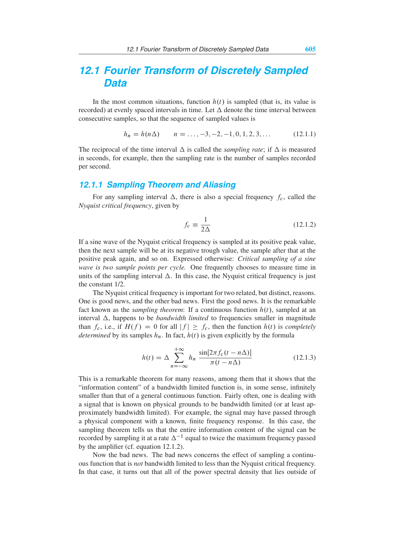# **12.1 Fourier Transform of Discretely Sampled Data**

In the most common situations, function  $h(t)$  is sampled (that is, its value is recorded) at evenly spaced intervals in time. Let  $\Delta$  denote the time interval between consecutive samples, so that the sequence of sampled values is

$$
h_n = h(n\Delta) \qquad n = \dots, -3, -2, -1, 0, 1, 2, 3, \dots \tag{12.1.1}
$$

The reciprocal of the time interval  $\Delta$  is called the *sampling rate*; if  $\Delta$  is measured in seconds, for example, then the sampling rate is the number of samples recorded per second.

### **12.1.1 Sampling Theorem and Aliasing**

For any sampling interval  $\Delta$ , there is also a special frequency  $f_c$ , called the *Nyquist critical frequency*, given by

$$
f_c \equiv \frac{1}{2\Delta} \tag{12.1.2}
$$

If a sine wave of the Nyquist critical frequency is sampled at its positive peak value, then the next sample will be at its negative trough value, the sample after that at the positive peak again, and so on. Expressed otherwise: *Critical sampling of a sine wave is two sample points per cycle.* One frequently chooses to measure time in units of the sampling interval  $\Delta$ . In this case, the Nyquist critical frequency is just the constant 1/2.

The Nyquist critical frequency is important for two related, but distinct, reasons. One is good news, and the other bad news. First the good news. It is the remarkable fact known as the *sampling theorem*: If a continuous function  $h(t)$ , sampled at an interval  $\Delta$ , happens to be *bandwidth limited* to frequencies smaller in magnitude than  $f_c$ , i.e., if  $H(f) = 0$  for all  $|f| \ge f_c$ , then the function  $h(t)$  is *completely determined* by its samples  $h_n$ . In fact,  $h(t)$  is given explicitly by the formula

$$
h(t) = \Delta \sum_{n = -\infty}^{+\infty} h_n \frac{\sin[2\pi f_c(t - n\Delta)]}{\pi(t - n\Delta)}
$$
(12.1.3)

This is a remarkable theorem for many reasons, among them that it shows that the "information content" of a bandwidth limited function is, in some sense, infinitely smaller than that of a general continuous function. Fairly often, one is dealing with a signal that is known on physical grounds to be bandwidth limited (or at least approximately bandwidth limited). For example, the signal may have passed through a physical component with a known, finite frequency response. In this case, the sampling theorem tells us that the entire information content of the signal can be recorded by sampling it at a rate  $\Delta^{-1}$  equal to twice the maximum frequency passed by the amplifier (cf. equation 12.1.2).

Now the bad news. The bad news concerns the effect of sampling a continuous function that is *not* bandwidth limited to less than the Nyquist critical frequency. In that case, it turns out that all of the power spectral density that lies outside of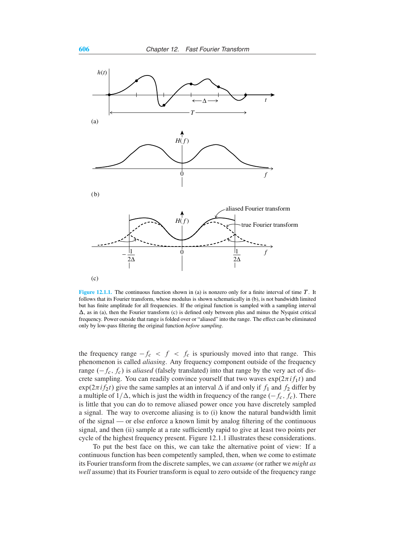

**Figure 12.1.1.** The continuous function shown in (a) is nonzero only for a finite interval of time T. It follows that its Fourier transform, whose modulus is shown schematically in (b), is not bandwidth limited but has finite amplitude for all frequencies. If the original function is sampled with a sampling interval  $\Delta$ , as in (a), then the Fourier transform (c) is defined only between plus and minus the Nyquist critical frequency. Power outside that range is folded over or "aliased" into the range. The effect can be eliminated only by low-pass filtering the original function *before sampling*.

the frequency range  $-f_c < f < f_c$  is spuriously moved into that range. This phenomenon is called *aliasing*. Any frequency component outside of the frequency range  $(-f_c, f_c)$  is *aliased* (falsely translated) into that range by the very act of discrete sampling. You can readily convince yourself that two waves  $\exp(2\pi i f_1 t)$  and  $\exp(2\pi i f_2 t)$  give the same samples at an interval  $\Delta$  if and only if  $f_1$  and  $f_2$  differ by a multiple of  $1/\Delta$ , which is just the width in frequency of the range  $(-f_c, f_c)$ . There is little that you can do to remove aliased power once you have discretely sampled a signal. The way to overcome aliasing is to (i) know the natural bandwidth limit of the signal — or else enforce a known limit by analog filtering of the continuous signal, and then (ii) sample at a rate sufficiently rapid to give at least two points per cycle of the highest frequency present. Figure 12.1.1 illustrates these considerations.

To put the best face on this, we can take the alternative point of view: If a continuous function has been competently sampled, then, when we come to estimate its Fourier transform from the discrete samples, we can *assume* (or rather we *might as well* assume) that its Fourier transform is equal to zero outside of the frequency range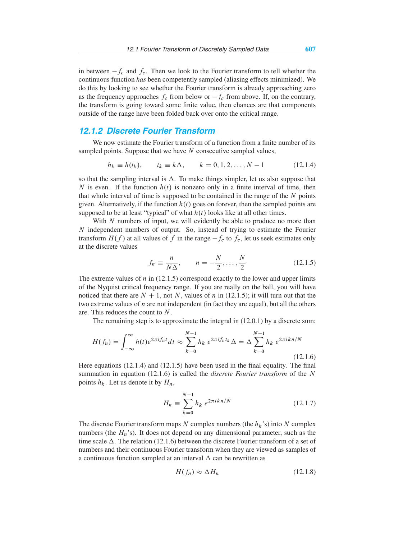in between  $-f_c$  and  $f_c$ . Then we look to the Fourier transform to tell whether the continuous function *has* been competently sampled (aliasing effects minimized). We do this by looking to see whether the Fourier transform is already approaching zero as the frequency approaches  $f_c$  from below or  $-f_c$  from above. If, on the contrary, the transform is going toward some finite value, then chances are that components outside of the range have been folded back over onto the critical range.

### **12.1.2 Discrete Fourier Transform**

We now estimate the Fourier transform of a function from a finite number of its sampled points. Suppose that we have  $N$  consecutive sampled values,

$$
h_k \equiv h(t_k), \qquad t_k \equiv k\Delta, \qquad k = 0, 1, 2, ..., N - 1
$$
 (12.1.4)

so that the sampling interval is  $\Delta$ . To make things simpler, let us also suppose that N is even. If the function  $h(t)$  is nonzero only in a finite interval of time, then that whole interval of time is supposed to be contained in the range of the  $N$  points given. Alternatively, if the function  $h(t)$  goes on forever, then the sampled points are supposed to be at least "typical" of what  $h(t)$  looks like at all other times.

With  $N$  numbers of input, we will evidently be able to produce no more than N independent numbers of output. So, instead of trying to estimate the Fourier transform  $H(f)$  at all values of f in the range  $-f_c$  to  $f_c$ , let us seek estimates only at the discrete values

$$
f_n \equiv \frac{n}{N\Delta}, \qquad n = -\frac{N}{2}, \dots, \frac{N}{2}
$$
 (12.1.5)

The extreme values of  $n$  in (12.1.5) correspond exactly to the lower and upper limits of the Nyquist critical frequency range. If you are really on the ball, you will have noticed that there are  $N + 1$ , not N, values of n in (12.1.5); it will turn out that the two extreme values of  $n$  are not independent (in fact they are equal), but all the others are. This reduces the count to N.

The remaining step is to approximate the integral in (12.0.1) by a discrete sum:

$$
H(f_n) = \int_{-\infty}^{\infty} h(t)e^{2\pi i f_n t} dt \approx \sum_{k=0}^{N-1} h_k e^{2\pi i f_n t_k} \Delta = \Delta \sum_{k=0}^{N-1} h_k e^{2\pi i k n/N}
$$
\n(12.1.6)

Here equations (12.1.4) and (12.1.5) have been used in the final equality. The final summation in equation (12.1.6) is called the *discrete Fourier transform* of the N points  $h_k$ . Let us denote it by  $H_n$ ,

$$
H_n \equiv \sum_{k=0}^{N-1} h_k \; e^{2\pi i k n/N} \tag{12.1.7}
$$

The discrete Fourier transform maps N complex numbers (the  $h_k$ 's) into N complex numbers (the  $H_n$ 's). It does not depend on any dimensional parameter, such as the time scale  $\Delta$ . The relation (12.1.6) between the discrete Fourier transform of a set of numbers and their continuous Fourier transform when they are viewed as samples of a continuous function sampled at an interval  $\Delta$  can be rewritten as

$$
H(f_n) \approx \Delta H_n \tag{12.1.8}
$$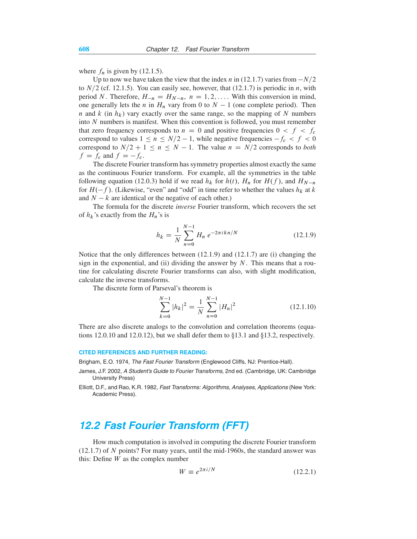where  $f_n$  is given by (12.1.5).

Up to now we have taken the view that the index n in (12.1.7) varies from  $-N/2$ to  $N/2$  (cf. 12.1.5). You can easily see, however, that (12.1.7) is periodic in n, with period N. Therefore,  $H_{-n} = H_{N-n}$ ,  $n = 1, 2, \ldots$ . With this conversion in mind, one generally lets the *n* in  $H_n$  vary from 0 to  $N - 1$  (one complete period). Then n and k (in  $h_k$ ) vary exactly over the same range, so the mapping of N numbers into N numbers is manifest. When this convention is followed, you must remember that zero frequency corresponds to  $n = 0$  and positive frequencies  $0 < f < f_c$ correspond to values  $1 \le n \le N/2 - 1$ , while negative frequencies  $-f_c < f < 0$ correspond to  $N/2 + 1 \le n \le N - 1$ . The value  $n = N/2$  corresponds to *both*  $f = f_c$  and  $f = -f_c$ .

The discrete Fourier transform has symmetry properties almost exactly the same as the continuous Fourier transform. For example, all the symmetries in the table following equation (12.0.3) hold if we read  $h_k$  for  $h(t)$ ,  $H_n$  for  $H(f)$ , and  $H_{N-n}$ for  $H(-f)$ . (Likewise, "even" and "odd" in time refer to whether the values  $h_k$  at k and  $N - k$  are identical or the negative of each other.)

The formula for the discrete *inverse* Fourier transform, which recovers the set of  $h_k$ 's exactly from the  $H_n$ 's is

$$
h_k = \frac{1}{N} \sum_{n=0}^{N-1} H_n e^{-2\pi i k n/N}
$$
 (12.1.9)

Notice that the only differences between (12.1.9) and (12.1.7) are (i) changing the sign in the exponential, and (ii) dividing the answer by  $N$ . This means that a routine for calculating discrete Fourier transforms can also, with slight modification, calculate the inverse transforms.

The discrete form of Parseval's theorem is

$$
\sum_{k=0}^{N-1} |h_k|^2 = \frac{1}{N} \sum_{n=0}^{N-1} |H_n|^2
$$
 (12.1.10)

There are also discrete analogs to the convolution and correlation theorems (equations 12.0.10 and 12.0.12), but we shall defer them to  $\S 13.1$  and  $\S 13.2$ , respectively.

### **CITED REFERENCES AND FURTHER READING:**

Brigham, E.O. 1974, The Fast Fourier Transform (Englewood Cliffs, NJ: Prentice-Hall).

- James, J.F. 2002, A Student's Guide to Fourier Transforms, 2nd ed. (Cambridge, UK: Cambridge University Press)
- Elliott, D.F., and Rao, K.R. 1982, Fast Transforms: Algorithms, Analyses, Applications (New York: Academic Press).

# **12.2 Fast Fourier Transform (FFT)**

How much computation is involved in computing the discrete Fourier transform  $(12.1.7)$  of N points? For many years, until the mid-1960s, the standard answer was this: Define  $W$  as the complex number

$$
W \equiv e^{2\pi i/N} \tag{12.2.1}
$$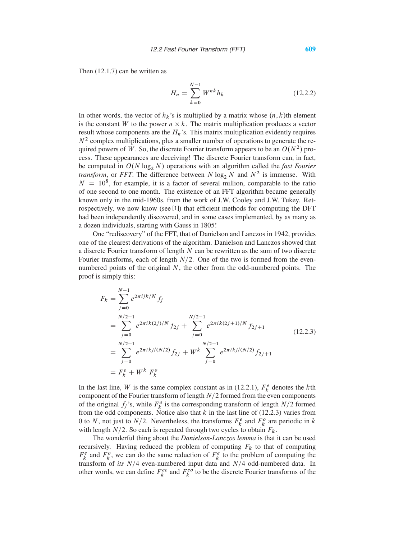Then (12.1.7) can be written as

$$
H_n = \sum_{k=0}^{N-1} W^{nk} h_k
$$
 (12.2.2)

In other words, the vector of  $h_k$ 's is multiplied by a matrix whose  $(n, k)$ th element is the constant W to the power  $n \times k$ . The matrix multiplication produces a vector result whose components are the  $H_n$ 's. This matrix multiplication evidently requires  $N^2$  complex multiplications, plus a smaller number of operations to generate the required powers of W. So, the discrete Fourier transform appears to be an  $O(N^2)$  process. These appearances are deceiving! The discrete Fourier transform can, in fact, be computed in  $O(N \log_2 N)$  operations with an algorithm called the *fast Fourier transform*, or *FFT*. The difference between N  $\log_2 N$  and  $N^2$  is immense. With  $N = 10<sup>8</sup>$ , for example, it is a factor of several million, comparable to the ratio of one second to one month. The existence of an FFT algorithm became generally known only in the mid-1960s, from the work of J.W. Cooley and J.W. Tukey. Retrospectively, we now know (see [1]) that efficient methods for computing the DFT had been independently discovered, and in some cases implemented, by as many as a dozen individuals, starting with Gauss in 1805!

One "rediscovery" of the FFT, that of Danielson and Lanczos in 1942, provides one of the clearest derivations of the algorithm. Danielson and Lanczos showed that a discrete Fourier transform of length N can be rewritten as the sum of two discrete Fourier transforms, each of length  $N/2$ . One of the two is formed from the evennumbered points of the original  $N$ , the other from the odd-numbered points. The proof is simply this:

$$
F_k = \sum_{j=0}^{N-1} e^{2\pi i j k/N} f_j
$$
  
= 
$$
\sum_{j=0}^{N/2-1} e^{2\pi i k (2j)/N} f_{2j} + \sum_{j=0}^{N/2-1} e^{2\pi i k (2j+1)/N} f_{2j+1}
$$
  
= 
$$
\sum_{j=0}^{N/2-1} e^{2\pi i k j/(N/2)} f_{2j} + W^k \sum_{j=0}^{N/2-1} e^{2\pi i k j/(N/2)} f_{2j+1}
$$
  
= 
$$
F_k^e + W^k F_k^o
$$
 (12.2.3)

In the last line, W is the same complex constant as in (12.2.1),  $F_k^e$  denotes the kth component of the Fourier transform of length  $N/2$  formed from the even components of the original  $f_j$ 's, while  $F_k^o$  is the corresponding transform of length  $N/2$  formed from the odd components. Notice also that  $k$  in the last line of (12.2.3) varies from 0 to N, not just to  $N/2$ . Nevertheless, the transforms  $F_k^e$  and  $F_k^o$  are periodic in k with length  $N/2$ . So each is repeated through two cycles to obtain  $F_k$ .

The wonderful thing about the *Danielson-Lanczos lemma* is that it can be used recursively. Having reduced the problem of computing  $F_k$  to that of computing  $F_k^e$  and  $F_k^o$ , we can do the same reduction of  $F_k^e$  to the problem of computing the transform of *its*  $N/4$  even-numbered input data and  $N/4$  odd-numbered data. In other words, we can define  $F_k^{ee}$  and  $F_k^{eo}$  to be the discrete Fourier transforms of the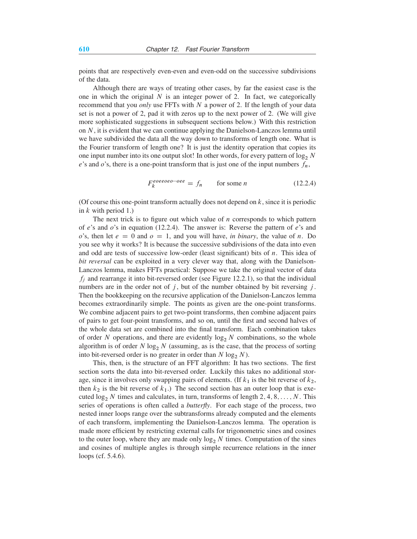points that are respectively even-even and even-odd on the successive subdivisions of the data.

Although there are ways of treating other cases, by far the easiest case is the one in which the original  $N$  is an integer power of 2. In fact, we categorically recommend that you *only* use FFTs with N a power of 2. If the length of your data set is not a power of 2, pad it with zeros up to the next power of 2. (We will give more sophisticated suggestions in subsequent sections below.) With this restriction on  $N$ , it is evident that we can continue applying the Danielson-Lanczos lemma until we have subdivided the data all the way down to transforms of length one. What is the Fourier transform of length one? It is just the identity operation that copies its one input number into its one output slot! In other words, for every pattern of  $\log_2 N$ e's and o's, there is a one-point transform that is just one of the input numbers  $f_n$ ,

$$
F_k^{eoeeoe\dots oee} = f_n \qquad \text{for some } n \tag{12.2.4}
$$

(Of course this one-point transform actually does not depend on  $k$ , since it is periodic in  $k$  with period 1.)

The next trick is to figure out which value of  $n$  corresponds to which pattern of  $e$ 's and  $o$ 's in equation (12.2.4). The answer is: Reverse the pattern of  $e$ 's and  $o's$ , then let  $e = 0$  and  $o = 1$ , and you will have, *in binary*, the value of n. Do you see why it works? It is because the successive subdivisions of the data into even and odd are tests of successive low-order (least significant) bits of  $n$ . This idea of *bit reversal* can be exploited in a very clever way that, along with the Danielson-Lanczos lemma, makes FFTs practical: Suppose we take the original vector of data  $f_i$  and rearrange it into bit-reversed order (see Figure 12.2.1), so that the individual numbers are in the order not of  $j$ , but of the number obtained by bit reversing  $j$ . Then the bookkeeping on the recursive application of the Danielson-Lanczos lemma becomes extraordinarily simple. The points as given are the one-point transforms. We combine adjacent pairs to get two-point transforms, then combine adjacent pairs of pairs to get four-point transforms, and so on, until the first and second halves of the whole data set are combined into the final transform. Each combination takes of order N operations, and there are evidently  $\log_2 N$  combinations, so the whole algorithm is of order  $N \log_2 N$  (assuming, as is the case, that the process of sorting into bit-reversed order is no greater in order than  $N \log_2 N$ ).

This, then, is the structure of an FFT algorithm: It has two sections. The first section sorts the data into bit-reversed order. Luckily this takes no additional storage, since it involves only swapping pairs of elements. (If  $k_1$  is the bit reverse of  $k_2$ , then  $k_2$  is the bit reverse of  $k_1$ .) The second section has an outer loop that is executed log<sub>2</sub> N times and calculates, in turn, transforms of length 2, 4, 8, ..., N. This series of operations is often called a *butterfly*. For each stage of the process, two nested inner loops range over the subtransforms already computed and the elements of each transform, implementing the Danielson-Lanczos lemma. The operation is made more efficient by restricting external calls for trigonometric sines and cosines to the outer loop, where they are made only  $\log_2 N$  times. Computation of the sines and cosines of multiple angles is through simple recurrence relations in the inner loops (cf. 5.4.6).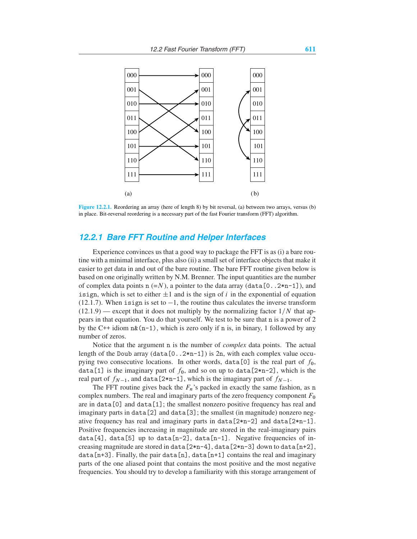

**Figure 12.2.1.** Reordering an array (here of length 8) by bit reversal, (a) between two arrays, versus (b) in place. Bit-reversal reordering is a necessary part of the fast Fourier transform (FFT) algorithm.

### **12.2.1 Bare FFT Routine and Helper Interfaces**

Experience convinces us that a good way to package the FFT is as (i) a bare routine with a minimal interface, plus also (ii) a small set of interface objects that make it easier to get data in and out of the bare routine. The bare FFT routine given below is based on one originally written by N.M. Brenner. The input quantities are the number of complex data points  $n (=N)$ , a pointer to the data array (data [0..2\*n-1]), and isign, which is set to either  $\pm 1$  and is the sign of i in the exponential of equation (12.1.7). When isign is set to  $-1$ , the routine thus calculates the inverse transform  $(12.1.9)$  — except that it does not multiply by the normalizing factor  $1/N$  that appears in that equation. You do that yourself. We test to be sure that n is a power of 2 by the C++ idiom  $n\&(n-1)$ , which is zero only if n is, in binary, 1 followed by any number of zeros.

Notice that the argument n is the number of *complex* data points. The actual length of the Doub array (data  $[0..2*n-1]$ ) is 2n, with each complex value occupying two consecutive locations. In other words,  $data[0]$  is the real part of  $f_0$ , data[1] is the imaginary part of  $f_0$ , and so on up to data[2\*n-2], which is the real part of  $f_{N-1}$ , and data [2\*n-1], which is the imaginary part of  $f_{N-1}$ .

The FFT routine gives back the  $F_n$ 's packed in exactly the same fashion, as n complex numbers. The real and imaginary parts of the zero frequency component  $F_0$ are in data[0] and data[1]; the smallest nonzero positive frequency has real and imaginary parts in data $[2]$  and data $[3]$ ; the smallest (in magnitude) nonzero negative frequency has real and imaginary parts in data[2\*n-2] and data[2\*n-1]. Positive frequencies increasing in magnitude are stored in the real-imaginary pairs data[4], data[5] up to data[n-2], data[n-1]. Negative frequencies of increasing magnitude are stored in data[2\*n-4], data[2\*n-3] down to data[n+2],  $data[n+3]$ . Finally, the pair  $data[n]$ ,  $data[n+1]$  contains the real and imaginary parts of the one aliased point that contains the most positive and the most negative frequencies. You should try to develop a familiarity with this storage arrangement of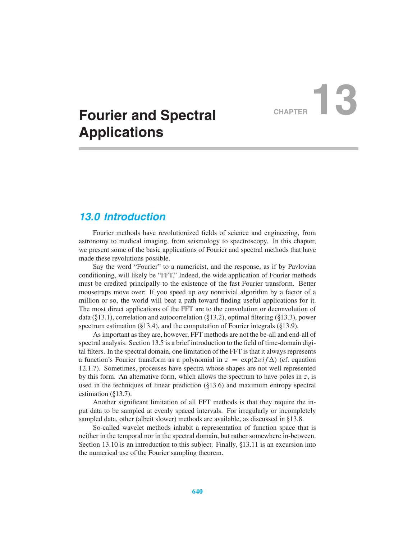# **CHAPTER 13**

# **Fourier and Spectral Applications**

# **13.0 Introduction**

Fourier methods have revolutionized fields of science and engineering, from astronomy to medical imaging, from seismology to spectroscopy. In this chapter, we present some of the basic applications of Fourier and spectral methods that have made these revolutions possible.

Say the word "Fourier" to a numericist, and the response, as if by Pavlovian conditioning, will likely be "FFT." Indeed, the wide application of Fourier methods must be credited principally to the existence of the fast Fourier transform. Better mousetraps move over: If you speed up *any* nontrivial algorithm by a factor of a million or so, the world will beat a path toward finding useful applications for it. The most direct applications of the FFT are to the convolution or deconvolution of data (§13.1), correlation and autocorrelation (§13.2), optimal filtering (§13.3), power spectrum estimation ( $\S$ 13.4), and the computation of Fourier integrals ( $\S$ 13.9).

As important as they are, however, FFT methods are not the be-all and end-all of spectral analysis. Section 13.5 is a brief introduction to the field of time-domain digital filters. In the spectral domain, one limitation of the FFT is that it always represents a function's Fourier transform as a polynomial in  $z = \exp(2\pi i f \Delta)$  (cf. equation 12.1.7). Sometimes, processes have spectra whose shapes are not well represented by this form. An alternative form, which allows the spectrum to have poles in  $z$ , is used in the techniques of linear prediction  $(\S13.6)$  and maximum entropy spectral estimation  $(\S13.7)$ .

Another significant limitation of all FFT methods is that they require the input data to be sampled at evenly spaced intervals. For irregularly or incompletely sampled data, other (albeit slower) methods are available, as discussed in  $§13.8$ .

So-called wavelet methods inhabit a representation of function space that is neither in the temporal nor in the spectral domain, but rather somewhere in-between. Section  $13.10$  is an introduction to this subject. Finally,  $§13.11$  is an excursion into the numerical use of the Fourier sampling theorem.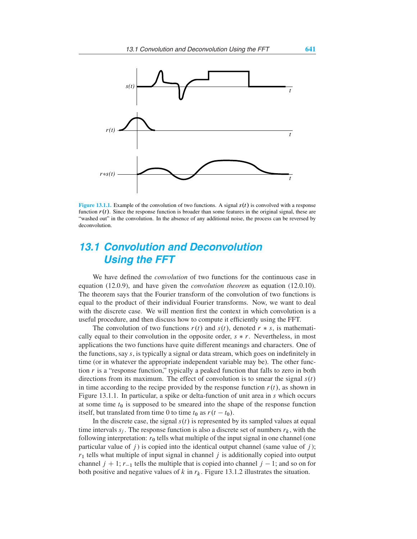

**Figure 13.1.1.** Example of the convolution of two functions. A signal  $s(t)$  is convolved with a response function  $r(t)$ . Since the response function is broader than some features in the original signal, these are "washed out" in the convolution. In the absence of any additional noise, the process can be reversed by deconvolution.

# **13.1 Convolution and Deconvolution Using the FFT**

We have defined the *convolution* of two functions for the continuous case in equation (12.0.9), and have given the *convolution theorem* as equation (12.0.10). The theorem says that the Fourier transform of the convolution of two functions is equal to the product of their individual Fourier transforms. Now, we want to deal with the discrete case. We will mention first the context in which convolution is a useful procedure, and then discuss how to compute it efficiently using the FFT.

The convolution of two functions  $r(t)$  and  $s(t)$ , denoted  $r * s$ , is mathematically equal to their convolution in the opposite order,  $s * r$ . Nevertheless, in most applications the two functions have quite different meanings and characters. One of the functions, say  $s$ , is typically a signal or data stream, which goes on indefinitely in time (or in whatever the appropriate independent variable may be). The other function  $r$  is a "response function," typically a peaked function that falls to zero in both directions from its maximum. The effect of convolution is to smear the signal  $s(t)$ in time according to the recipe provided by the response function  $r(t)$ , as shown in Figure 13.1.1. In particular, a spike or delta-function of unit area in s which occurs at some time  $t_0$  is supposed to be smeared into the shape of the response function itself, but translated from time 0 to time  $t_0$  as  $r(t - t_0)$ .

In the discrete case, the signal  $s(t)$  is represented by its sampled values at equal time intervals  $s_j$ . The response function is also a discrete set of numbers  $r_k$ , with the following interpretation:  $r_0$  tells what multiple of the input signal in one channel (one particular value of j) is copied into the identical output channel (same value of j);  $r_1$  tells what multiple of input signal in channel j is additionally copied into output channel  $j + 1$ ;  $r_{-1}$  tells the multiple that is copied into channel  $j - 1$ ; and so on for both positive and negative values of k in  $r_k$ . Figure 13.1.2 illustrates the situation.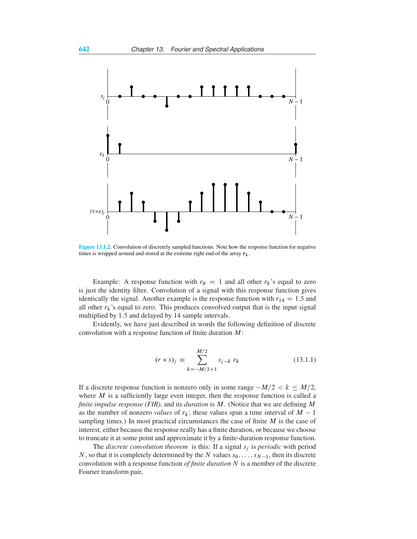

**Figure 13.1.2.** Convolution of discretely sampled functions. Note how the response function for negative times is wrapped around and stored at the extreme right end of the array  $r_k$ .

Example: A response function with  $r_0 = 1$  and all other  $r_k$ 's equal to zero is just the identity filter. Convolution of a signal with this response function gives identically the signal. Another example is the response function with  $r_{14} = 1.5$  and all other  $r_k$ 's equal to zero. This produces convolved output that is the input signal multiplied by 1.5 and delayed by 14 sample intervals.

Evidently, we have just described in words the following definition of discrete convolution with a response function of finite duration M:

$$
(r * s)_j \equiv \sum_{k=-M/2+1}^{M/2} s_{j-k} r_k
$$
 (13.1.1)

If a discrete response function is nonzero only in some range  $-M/2 < k \le M/2$ , where  $M$  is a sufficiently large even integer, then the response function is called a *finite impulse response (FIR)*, and its *duration* is M. (Notice that we are defining M as the number of nonzero *values* of  $r_k$ ; these values span a time interval of  $M - 1$ sampling times.) In most practical circumstances the case of finite  $M$  is the case of interest, either because the response really has a finite duration, or because we choose to truncate it at some point and approximate it by a finite-duration response function.

The *discrete convolution theorem* is this: If a signal  $s_i$  is *periodic* with period N, so that it is completely determined by the N values  $s_0, \ldots, s_{N-1}$ , then its discrete convolution with a response function *of finite duration* N is a member of the discrete Fourier transform pair,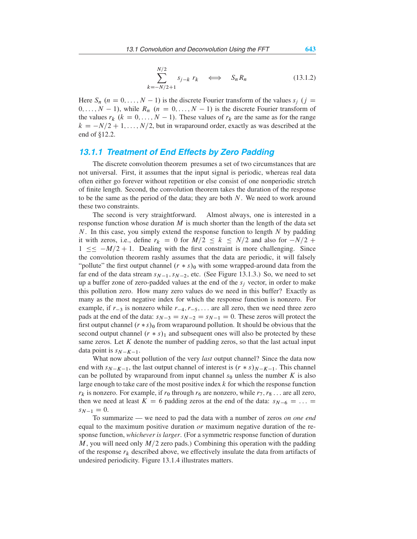$$
\sum_{k=-N/2+1}^{N/2} s_{j-k} r_k \quad \Longleftrightarrow \quad S_n R_n \tag{13.1.2}
$$

Here  $S_n$   $(n = 0, \ldots, N - 1)$  is the discrete Fourier transform of the values  $s_j$   $(j = 1, \ldots, N - 1)$  $0, \ldots, N - 1$ , while  $R_n$   $(n = 0, \ldots, N - 1)$  is the discrete Fourier transform of the values  $r_k$   $(k = 0, ..., N - 1)$ . These values of  $r_k$  are the same as for the range  $k = -N/2 + 1, \ldots, N/2$ , but in wraparound order, exactly as was described at the end of  $§12.2$ .

### **13.1.1 Treatment of End Effects by Zero Padding**

The discrete convolution theorem presumes a set of two circumstances that are not universal. First, it assumes that the input signal is periodic, whereas real data often either go forever without repetition or else consist of one nonperiodic stretch of finite length. Second, the convolution theorem takes the duration of the response to be the same as the period of the data; they are both  $N$ . We need to work around these two constraints.

The second is very straightforward. Almost always, one is interested in a response function whose duration  $M$  is much shorter than the length of the data set  $N$ . In this case, you simply extend the response function to length  $N$  by padding it with zeros, i.e., define  $r_k = 0$  for  $M/2 \le k \le N/2$  and also for  $-N/2 +$  $1 \leq M/2 + 1$ . Dealing with the first constraint is more challenging. Since the convolution theorem rashly assumes that the data are periodic, it will falsely "pollute" the first output channel  $(r * s)$ <sup>0</sup> with some wrapped-around data from the far end of the data stream  $s_{N-1}$ ,  $s_{N-2}$ , etc. (See Figure 13.1.3.) So, we need to set up a buffer zone of zero-padded values at the end of the  $s_i$  vector, in order to make this pollution zero. How many zero values do we need in this buffer? Exactly as many as the most negative index for which the response function is nonzero. For example, if  $r_{-3}$  is nonzero while  $r_{-4}, r_{-5}, \ldots$  are all zero, then we need three zero pads at the end of the data:  $s_{N-3} = s_{N-2} = s_{N-1} = 0$ . These zeros will protect the first output channel  $(r * s)_0$  from wraparound pollution. It should be obvious that the second output channel  $(r * s)$ <sub>1</sub> and subsequent ones will also be protected by these same zeros. Let  $K$  denote the number of padding zeros, so that the last actual input data point is  $s_{N-K-1}$ .

What now about pollution of the very *last* output channel? Since the data now end with  $s_{N-K-1}$ , the last output channel of interest is  $(r * s)_{N-K-1}$ . This channel can be polluted by wraparound from input channel  $s_0$  unless the number K is also large enough to take care of the most positive index  $k$  for which the response function  $r_k$  is nonzero. For example, if  $r_0$  through  $r_6$  are nonzero, while  $r_7, r_8, \ldots$  are all zero, then we need at least  $K = 6$  padding zeros at the end of the data:  $s_{N-6} = ... =$  $s_{N-1} = 0.$ 

To summarize — we need to pad the data with a number of zeros *on one end* equal to the maximum positive duration *or* maximum negative duration of the response function, *whichever is larger*. (For a symmetric response function of duration M, you will need only  $M/2$  zero pads.) Combining this operation with the padding of the response  $r_k$  described above, we effectively insulate the data from artifacts of undesired periodicity. Figure 13.1.4 illustrates matters.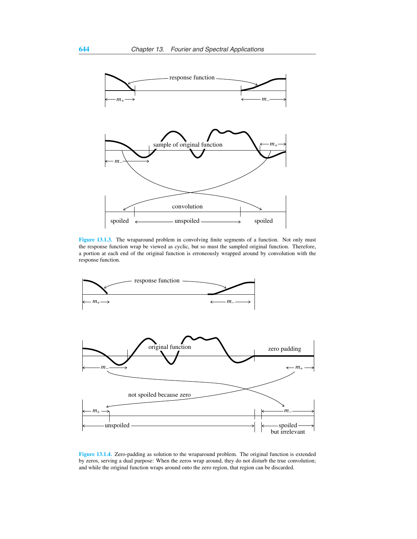

Figure 13.1.3. The wraparound problem in convolving finite segments of a function. Not only must the response function wrap be viewed as cyclic, but so must the sampled original function. Therefore, a portion at each end of the original function is erroneously wrapped around by convolution with the response function.



**Figure 13.1.4.** Zero-padding as solution to the wraparound problem. The original function is extended by zeros, serving a dual purpose: When the zeros wrap around, they do not disturb the true convolution; and while the original function wraps around onto the zero region, that region can be discarded.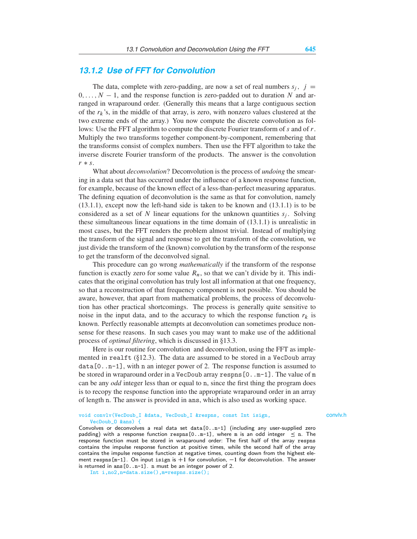## **13.1.2 Use of FFT for Convolution**

The data, complete with zero-padding, are now a set of real numbers  $s_i$ ,  $j =$  $0, \ldots, N - 1$ , and the response function is zero-padded out to duration N and arranged in wraparound order. (Generally this means that a large contiguous section of the  $r_k$ 's, in the middle of that array, is zero, with nonzero values clustered at the two extreme ends of the array.) You now compute the discrete convolution as follows: Use the FFT algorithm to compute the discrete Fourier transform of s and of  $r$ . Multiply the two transforms together component-by-component, remembering that the transforms consist of complex numbers. Then use the FFT algorithm to take the inverse discrete Fourier transform of the products. The answer is the convolution  $r * s$ .

What about *deconvolution*? Deconvolution is the process of *undoing* the smearing in a data set that has occurred under the influence of a known response function, for example, because of the known effect of a less-than-perfect measuring apparatus. The defining equation of deconvolution is the same as that for convolution, namely  $(13.1.1)$ , except now the left-hand side is taken to be known and  $(13.1.1)$  is to be considered as a set of N linear equations for the unknown quantities  $s_i$ . Solving these simultaneous linear equations in the time domain of (13.1.1) is unrealistic in most cases, but the FFT renders the problem almost trivial. Instead of multiplying the transform of the signal and response to get the transform of the convolution, we just divide the transform of the (known) convolution by the transform of the response to get the transform of the deconvolved signal.

This procedure can go wrong *mathematically* if the transform of the response function is exactly zero for some value  $R_n$ , so that we can't divide by it. This indicates that the original convolution has truly lost all information at that one frequency, so that a reconstruction of that frequency component is not possible. You should be aware, however, that apart from mathematical problems, the process of deconvolution has other practical shortcomings. The process is generally quite sensitive to noise in the input data, and to the accuracy to which the response function  $r_k$  is known. Perfectly reasonable attempts at deconvolution can sometimes produce nonsense for these reasons. In such cases you may want to make use of the additional process of *optimal filtering*, which is discussed in §13.3.

Here is our routine for convolution and deconvolution, using the FFT as implemented in realft (§12.3). The data are assumed to be stored in a VecDoub array  $data[0..n-1]$ , with n an integer power of 2. The response function is assumed to be stored in wraparound order in a VecDoub array respns[0..m-1]. The value of m can be any *odd* integer less than or equal to n, since the first thing the program does is to recopy the response function into the appropriate wraparound order in an array of length n. The answer is provided in ans, which is also used as working space.

void convlv(VecDoub\_I &data, VecDoub\_I &respns, const Int isign, example on the convlv.h VecDoub\_O &ans) {

Convolves or deconvolves a real data set data $[0..n-1]$  (including any user-supplied zero padding) with a response function respns [0.  $m-1$ ], where m is an odd integer  $\leq$  n. The response function must be stored in wraparound order: The first half of the array respns contains the impulse response function at positive times, while the second half of the array contains the impulse response function at negative times, counting down from the highest element respns  $[m-1]$ . On input isign is  $+1$  for convolution,  $-1$  for deconvolution. The answer is returned in ans[0..n-1]. n must be an integer power of 2.

Int i,no2,n=data.size(),m=respns.size();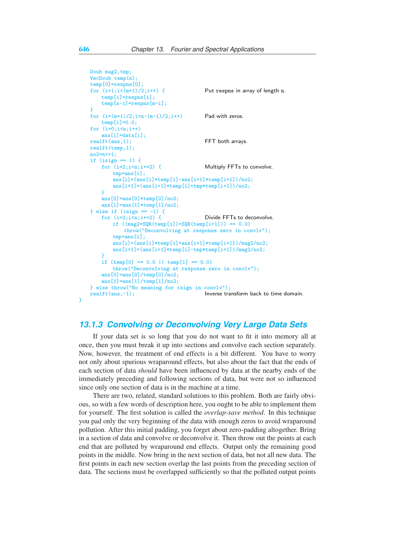```
Doub mag2,tmp;
VecDoub temp(n);
temp[0] = respns[0];<br>for (i=1; i < (m+1)/2; i++) {
                                         Put respns in array of length n.
    temp[i]=respns[i];
    temp[n-i]=respns[m-i];
}
for (i=(m+1)/2; i \leq n-(m-1)/2; i++) Pad with zeros.
    temp[i]=0.0;for (i=0; i \le n; i++)ans[i]=data[i];<br>realft(ans,1);
                                         FFT both arrays.
realft(temp,1);
no2=n>>1;
if (isign == 1) {
    for (i=2; i \le n; i+=2) { Multiply FFTs to convolve.
        tmp=ans[i];
        ans[i]=(ans[i]*temp[i]-ans[i+1]*temp[i+1])/no2;
        ans[i+1]=(ans[i+1]*temp[i]+tmp*temp[i+1])/no2;
    }
    ans[0]=ans[0]*temp[0]/no2;
    ans[1]=ans[1]*temp[1]/no2;
} else if (isign == -1) {<br> for (i=2;i\le n;i+=2) {
                                         Divide FFTs to deconvolve.
        if ((mag2=SQR(temp[i])+SQR(temp[i+1])) == 0.0)throw("Deconvolving at response zero in convlv");
        tmp=ans[i];
        ans[i]=(ans[i]*temp[i]+ans[i+1]*temp[i+1])/mag2/no2;
        ans[i+1]=(ans[i+1]*temp[i]-tmp*temp[i+1])/mag2/no2;
    }
    if temp[0] == 0.0 || temp[1] == 0.0)throw("Deconvolving at response zero in convlv");
    ans[0]=ans[0]/temp[0]/no2;
    ans[1]=ans[1]/temp[1]/no2;
} else throw("No meaning for isign in convlv");
realft(ans,-1); Inverse transform back to time domain.
```
### **13.1.3 Convolving or Deconvolving Very Large Data Sets**

If your data set is so long that you do not want to fit it into memory all at once, then you must break it up into sections and convolve each section separately. Now, however, the treatment of end effects is a bit different. You have to worry not only about spurious wraparound effects, but also about the fact that the ends of each section of data *should* have been influenced by data at the nearby ends of the immediately preceding and following sections of data, but were not so influenced since only one section of data is in the machine at a time.

There are two, related, standard solutions to this problem. Both are fairly obvious, so with a few words of description here, you ought to be able to implement them for yourself. The first solution is called the *overlap-save method*. In this technique you pad only the very beginning of the data with enough zeros to avoid wraparound pollution. After this initial padding, you forget about zero-padding altogether. Bring in a section of data and convolve or deconvolve it. Then throw out the points at each end that are polluted by wraparound end effects. Output only the remaining good points in the middle. Now bring in the next section of data, but not all new data. The first points in each new section overlap the last points from the preceding section of data. The sections must be overlapped sufficiently so that the polluted output points

}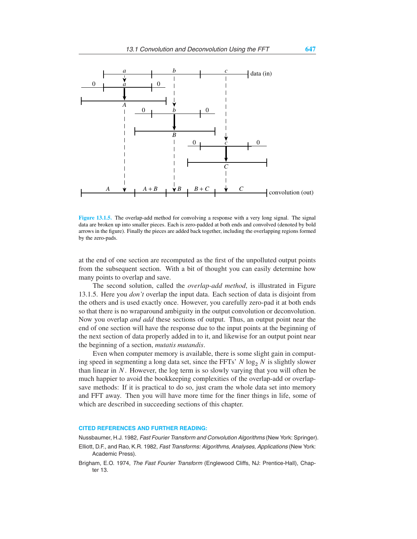

**Figure 13.1.5.** The overlap-add method for convolving a response with a very long signal. The signal data are broken up into smaller pieces. Each is zero-padded at both ends and convolved (denoted by bold arrows in the figure). Finally the pieces are added back together, including the overlapping regions formed by the zero-pads.

at the end of one section are recomputed as the first of the unpolluted output points from the subsequent section. With a bit of thought you can easily determine how many points to overlap and save.

The second solution, called the *overlap-add method*, is illustrated in Figure 13.1.5. Here you *don't* overlap the input data. Each section of data is disjoint from the others and is used exactly once. However, you carefully zero-pad it at both ends so that there is no wraparound ambiguity in the output convolution or deconvolution. Now you overlap *and add* these sections of output. Thus, an output point near the end of one section will have the response due to the input points at the beginning of the next section of data properly added in to it, and likewise for an output point near the beginning of a section, *mutatis mutandis*.

Even when computer memory is available, there is some slight gain in computing speed in segmenting a long data set, since the FFTs'  $N \log_2 N$  is slightly slower than linear in  $N$ . However, the log term is so slowly varying that you will often be much happier to avoid the bookkeeping complexities of the overlap-add or overlapsave methods: If it is practical to do so, just cram the whole data set into memory and FFT away. Then you will have more time for the finer things in life, some of which are described in succeeding sections of this chapter.

### **CITED REFERENCES AND FURTHER READING:**

Nussbaumer, H.J. 1982, Fast Fourier Transform and Convolution Algorithms (New York: Springer).

- Elliott, D.F., and Rao, K.R. 1982, Fast Transforms: Algorithms, Analyses, Applications (New York: Academic Press).
- Brigham, E.O. 1974, The Fast Fourier Transform (Englewood Cliffs, NJ: Prentice-Hall), Chapter 13.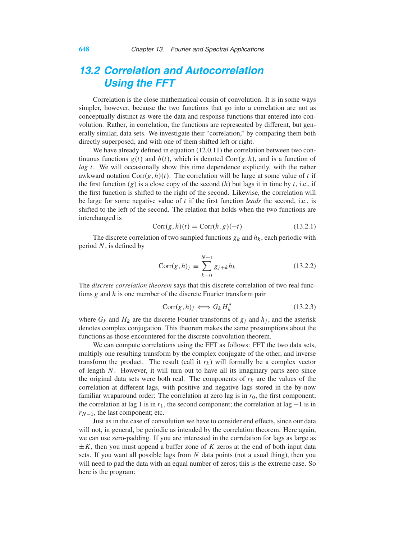# **13.2 Correlation and Autocorrelation Using the FFT**

Correlation is the close mathematical cousin of convolution. It is in some ways simpler, however, because the two functions that go into a correlation are not as conceptually distinct as were the data and response functions that entered into convolution. Rather, in correlation, the functions are represented by different, but generally similar, data sets. We investigate their "correlation," by comparing them both directly superposed, and with one of them shifted left or right.

We have already defined in equation (12.0.11) the correlation between two continuous functions  $g(t)$  and  $h(t)$ , which is denoted Corr $(g, h)$ , and is a function of *lag* t. We will occasionally show this time dependence explicitly, with the rather awkward notation Corr $(g, h)(t)$ . The correlation will be large at some value of t if the first function (g) is a close copy of the second (h) but lags it in time by t, i.e., if the first function is shifted to the right of the second. Likewise, the correlation will be large for some negative value of t if the first function *leads* the second, i.e., is shifted to the left of the second. The relation that holds when the two functions are interchanged is

$$
Corr(g, h)(t) = Corr(h, g)(-t)
$$
\n(13.2.1)

The discrete correlation of two sampled functions  $g_k$  and  $h_k$ , each periodic with period  $N$ , is defined by

$$
Corr(g, h)_j \equiv \sum_{k=0}^{N-1} g_{j+k} h_k
$$
 (13.2.2)

The *discrete correlation theorem* says that this discrete correlation of two real functions  $g$  and  $h$  is one member of the discrete Fourier transform pair

$$
Corr(g, h)_j \iff G_k H_k^* \tag{13.2.3}
$$

where  $G_k$  and  $H_k$  are the discrete Fourier transforms of  $g_j$  and  $h_j$ , and the asterisk denotes complex conjugation. This theorem makes the same presumptions about the functions as those encountered for the discrete convolution theorem.

We can compute correlations using the FFT as follows: FFT the two data sets, multiply one resulting transform by the complex conjugate of the other, and inverse transform the product. The result (call it  $r_k$ ) will formally be a complex vector of length N. However, it will turn out to have all its imaginary parts zero since the original data sets were both real. The components of  $r_k$  are the values of the correlation at different lags, with positive and negative lags stored in the by-now familiar wraparound order: The correlation at zero lag is in  $r_0$ , the first component; the correlation at lag 1 is in  $r_1$ , the second component; the correlation at lag  $-1$  is in  $r_{N-1}$ , the last component; etc.

Just as in the case of convolution we have to consider end effects, since our data will not, in general, be periodic as intended by the correlation theorem. Here again, we can use zero-padding. If you are interested in the correlation for lags as large as  $\pm K$ , then you must append a buffer zone of K zeros at the end of both input data sets. If you want all possible lags from  $N$  data points (not a usual thing), then you will need to pad the data with an equal number of zeros; this is the extreme case. So here is the program: